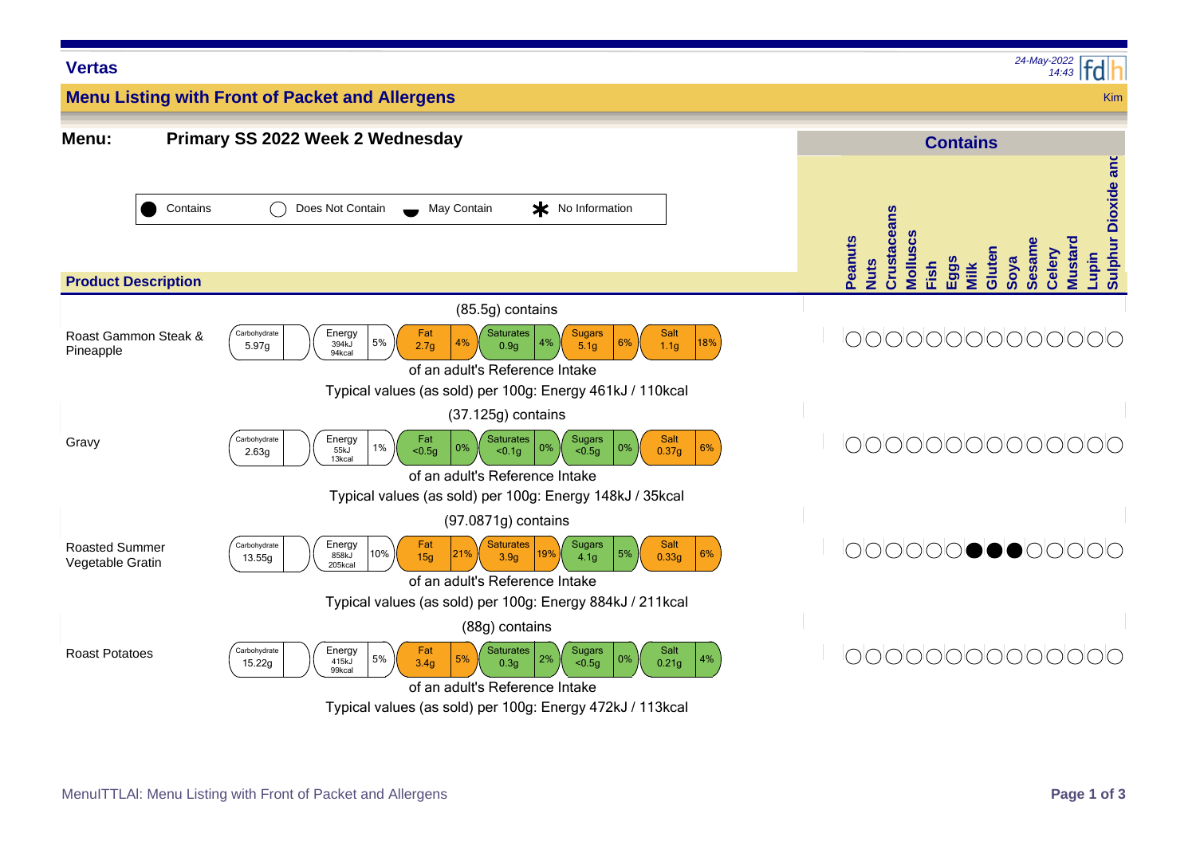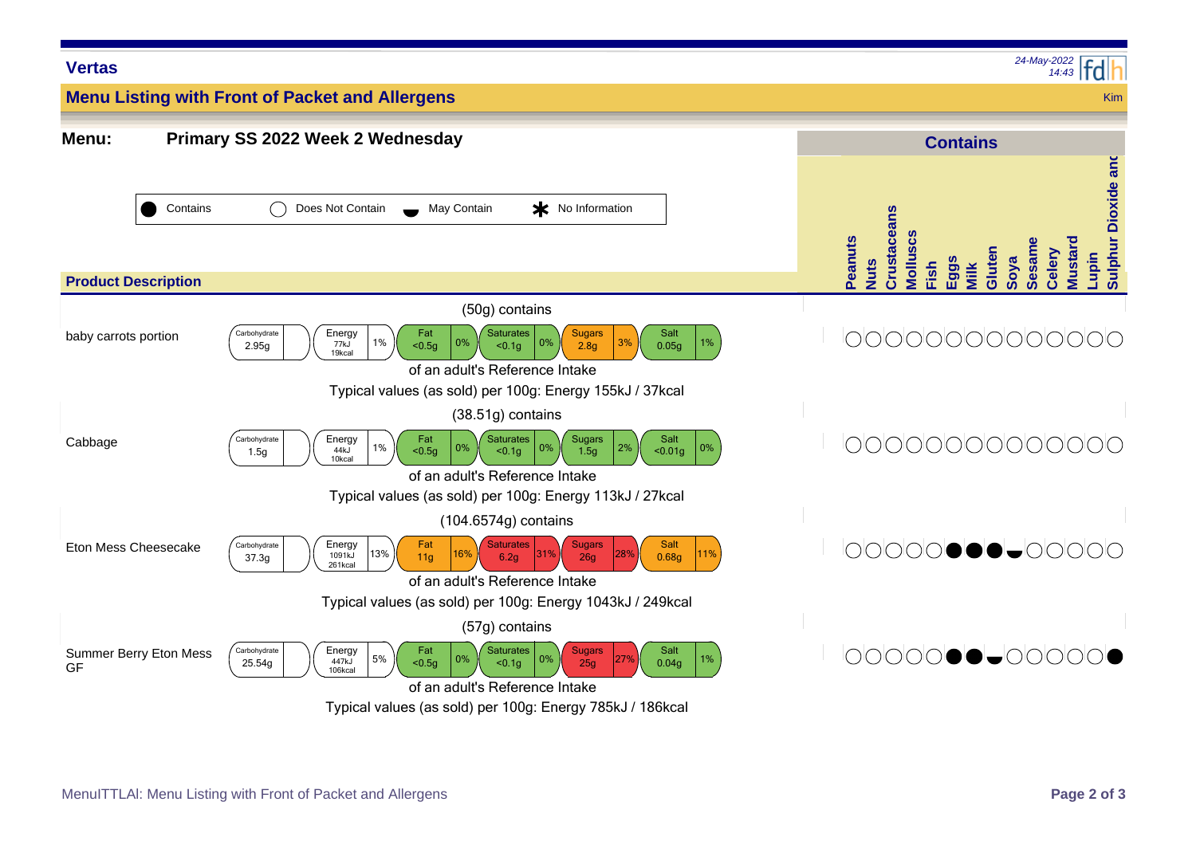